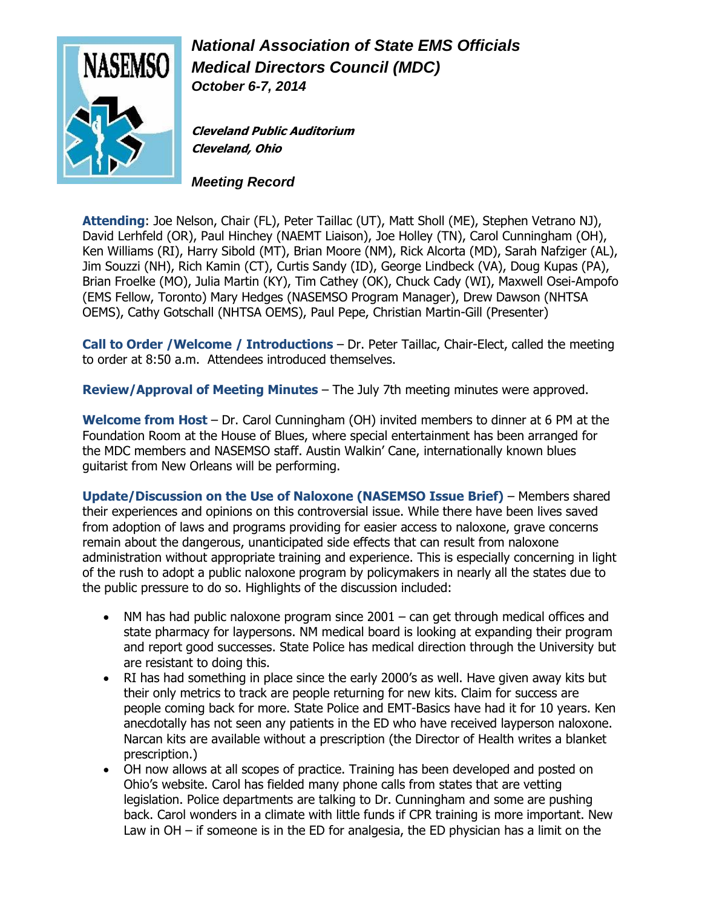

*National Association of State EMS Officials Medical Directors Council (MDC) October 6-7, 2014*

**Cleveland Public Auditorium Cleveland, Ohio**

*Meeting Record*

**Attending**: Joe Nelson, Chair (FL), Peter Taillac (UT), Matt Sholl (ME), Stephen Vetrano NJ), David Lerhfeld (OR), Paul Hinchey (NAEMT Liaison), Joe Holley (TN), Carol Cunningham (OH), Ken Williams (RI), Harry Sibold (MT), Brian Moore (NM), Rick Alcorta (MD), Sarah Nafziger (AL), Jim Souzzi (NH), Rich Kamin (CT), Curtis Sandy (ID), George Lindbeck (VA), Doug Kupas (PA), Brian Froelke (MO), Julia Martin (KY), Tim Cathey (OK), Chuck Cady (WI), Maxwell Osei-Ampofo (EMS Fellow, Toronto) Mary Hedges (NASEMSO Program Manager), Drew Dawson (NHTSA OEMS), Cathy Gotschall (NHTSA OEMS), Paul Pepe, Christian Martin-Gill (Presenter)

**Call to Order / Welcome / Introductions** – Dr. Peter Taillac, Chair-Elect, called the meeting to order at 8:50 a.m. Attendees introduced themselves.

**Review/Approval of Meeting Minutes** – The July 7th meeting minutes were approved.

**Welcome from Host** – Dr. Carol Cunningham (OH) invited members to dinner at 6 PM at the Foundation Room at the House of Blues, where special entertainment has been arranged for the MDC members and NASEMSO staff. Austin Walkin' Cane, internationally known blues guitarist from New Orleans will be performing.

**Update/Discussion on the Use of Naloxone (NASEMSO Issue Brief)** – Members shared their experiences and opinions on this controversial issue. While there have been lives saved from adoption of laws and programs providing for easier access to naloxone, grave concerns remain about the dangerous, unanticipated side effects that can result from naloxone administration without appropriate training and experience. This is especially concerning in light of the rush to adopt a public naloxone program by policymakers in nearly all the states due to the public pressure to do so. Highlights of the discussion included:

- NM has had public naloxone program since 2001 can get through medical offices and state pharmacy for laypersons. NM medical board is looking at expanding their program and report good successes. State Police has medical direction through the University but are resistant to doing this.
- RI has had something in place since the early 2000's as well. Have given away kits but their only metrics to track are people returning for new kits. Claim for success are people coming back for more. State Police and EMT-Basics have had it for 10 years. Ken anecdotally has not seen any patients in the ED who have received layperson naloxone. Narcan kits are available without a prescription (the Director of Health writes a blanket prescription.)
- OH now allows at all scopes of practice. Training has been developed and posted on Ohio's website. Carol has fielded many phone calls from states that are vetting legislation. Police departments are talking to Dr. Cunningham and some are pushing back. Carol wonders in a climate with little funds if CPR training is more important. New Law in OH – if someone is in the ED for analgesia, the ED physician has a limit on the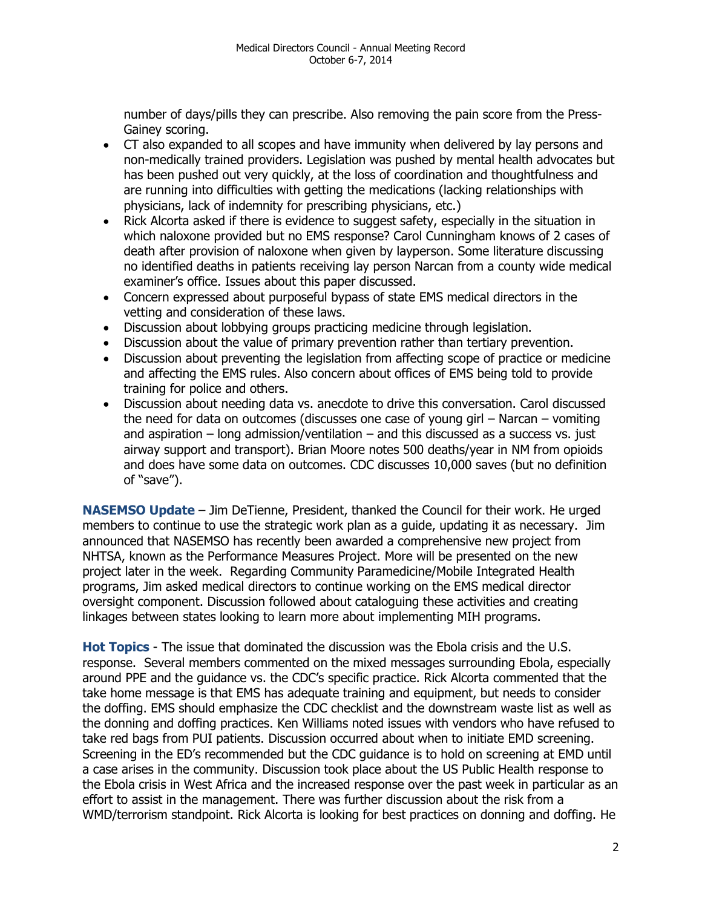number of days/pills they can prescribe. Also removing the pain score from the Press-Gainey scoring.

- CT also expanded to all scopes and have immunity when delivered by lay persons and non-medically trained providers. Legislation was pushed by mental health advocates but has been pushed out very quickly, at the loss of coordination and thoughtfulness and are running into difficulties with getting the medications (lacking relationships with physicians, lack of indemnity for prescribing physicians, etc.)
- Rick Alcorta asked if there is evidence to suggest safety, especially in the situation in which naloxone provided but no EMS response? Carol Cunningham knows of 2 cases of death after provision of naloxone when given by layperson. Some literature discussing no identified deaths in patients receiving lay person Narcan from a county wide medical examiner's office. Issues about this paper discussed.
- Concern expressed about purposeful bypass of state EMS medical directors in the vetting and consideration of these laws.
- Discussion about lobbying groups practicing medicine through legislation.
- Discussion about the value of primary prevention rather than tertiary prevention.
- Discussion about preventing the legislation from affecting scope of practice or medicine and affecting the EMS rules. Also concern about offices of EMS being told to provide training for police and others.
- Discussion about needing data vs. anecdote to drive this conversation. Carol discussed the need for data on outcomes (discusses one case of young girl – Narcan – vomiting and aspiration  $-$  long admission/ventilation  $-$  and this discussed as a success vs. just airway support and transport). Brian Moore notes 500 deaths/year in NM from opioids and does have some data on outcomes. CDC discusses 10,000 saves (but no definition of "save").

**NASEMSO Update** – Jim DeTienne, President, thanked the Council for their work. He urged members to continue to use the strategic work plan as a guide, updating it as necessary. Jim announced that NASEMSO has recently been awarded a comprehensive new project from NHTSA, known as the Performance Measures Project. More will be presented on the new project later in the week. Regarding Community Paramedicine/Mobile Integrated Health programs, Jim asked medical directors to continue working on the EMS medical director oversight component. Discussion followed about cataloguing these activities and creating linkages between states looking to learn more about implementing MIH programs.

**Hot Topics** - The issue that dominated the discussion was the Ebola crisis and the U.S. response. Several members commented on the mixed messages surrounding Ebola, especially around PPE and the guidance vs. the CDC's specific practice. Rick Alcorta commented that the take home message is that EMS has adequate training and equipment, but needs to consider the doffing. EMS should emphasize the CDC checklist and the downstream waste list as well as the donning and doffing practices. Ken Williams noted issues with vendors who have refused to take red bags from PUI patients. Discussion occurred about when to initiate EMD screening. Screening in the ED's recommended but the CDC guidance is to hold on screening at EMD until a case arises in the community. Discussion took place about the US Public Health response to the Ebola crisis in West Africa and the increased response over the past week in particular as an effort to assist in the management. There was further discussion about the risk from a WMD/terrorism standpoint. Rick Alcorta is looking for best practices on donning and doffing. He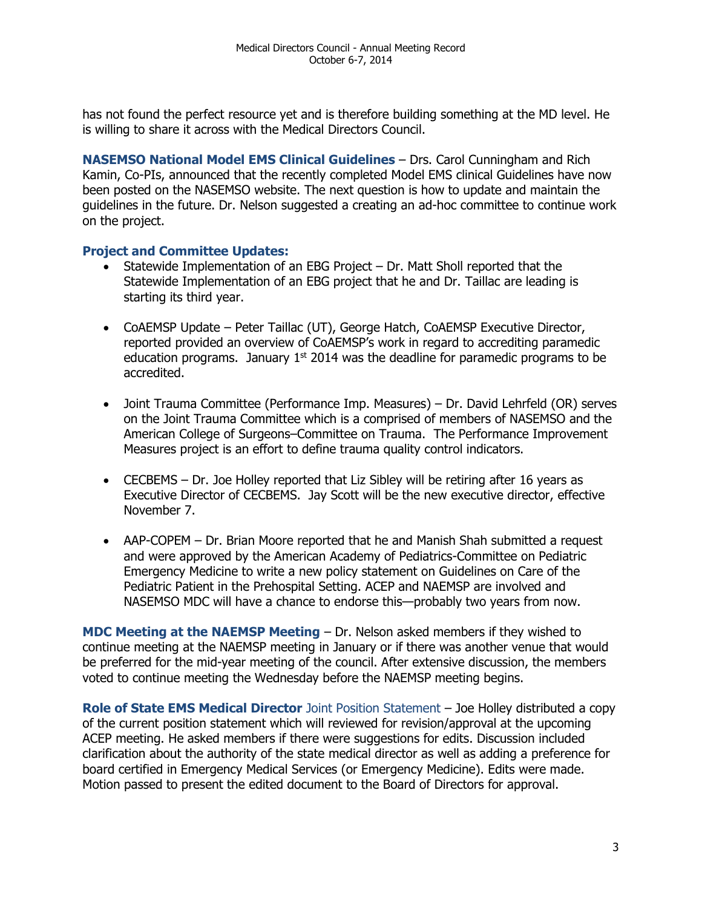has not found the perfect resource yet and is therefore building something at the MD level. He is willing to share it across with the Medical Directors Council.

**NASEMSO National Model EMS Clinical Guidelines** – Drs. Carol Cunningham and Rich Kamin, Co-PIs, announced that the recently completed Model EMS clinical Guidelines have now been posted on the NASEMSO website. The next question is how to update and maintain the guidelines in the future. Dr. Nelson suggested a creating an ad-hoc committee to continue work on the project.

## **Project and Committee Updates:**

- Statewide Implementation of an EBG Project Dr. Matt Sholl reported that the Statewide Implementation of an EBG project that he and Dr. Taillac are leading is starting its third year.
- CoAEMSP Update Peter Taillac (UT), George Hatch, CoAEMSP Executive Director, reported provided an overview of CoAEMSP's work in regard to accrediting paramedic education programs. January  $1<sup>st</sup>$  2014 was the deadline for paramedic programs to be accredited.
- Joint Trauma Committee (Performance Imp. Measures) Dr. David Lehrfeld (OR) serves on the Joint Trauma Committee which is a comprised of members of NASEMSO and the American College of Surgeons–Committee on Trauma. The Performance Improvement Measures project is an effort to define trauma quality control indicators.
- CECBEMS Dr. Joe Holley reported that Liz Sibley will be retiring after 16 years as Executive Director of CECBEMS. Jay Scott will be the new executive director, effective November 7.
- AAP-COPEM Dr. Brian Moore reported that he and Manish Shah submitted a request and were approved by the American Academy of Pediatrics-Committee on Pediatric Emergency Medicine to write a new policy statement on Guidelines on Care of the Pediatric Patient in the Prehospital Setting. ACEP and NAEMSP are involved and NASEMSO MDC will have a chance to endorse this—probably two years from now.

**MDC Meeting at the NAEMSP Meeting** – Dr. Nelson asked members if they wished to continue meeting at the NAEMSP meeting in January or if there was another venue that would be preferred for the mid-year meeting of the council. After extensive discussion, the members voted to continue meeting the Wednesday before the NAEMSP meeting begins.

**Role of State EMS Medical Director** Joint Position Statement – Joe Holley distributed a copy of the current position statement which will reviewed for revision/approval at the upcoming ACEP meeting. He asked members if there were suggestions for edits. Discussion included clarification about the authority of the state medical director as well as adding a preference for board certified in Emergency Medical Services (or Emergency Medicine). Edits were made. Motion passed to present the edited document to the Board of Directors for approval.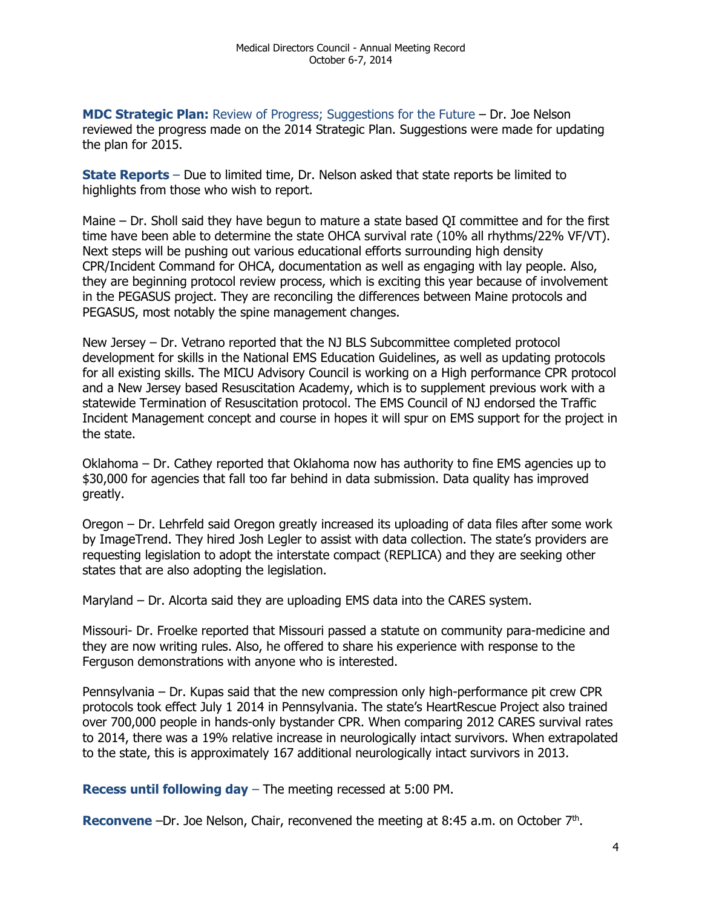**MDC Strategic Plan:** Review of Progress; Suggestions for the Future – Dr. Joe Nelson reviewed the progress made on the 2014 Strategic Plan. Suggestions were made for updating the plan for 2015.

**State Reports** – Due to limited time, Dr. Nelson asked that state reports be limited to highlights from those who wish to report.

Maine – Dr. Sholl said they have begun to mature a state based QI committee and for the first time have been able to determine the state OHCA survival rate (10% all rhythms/22% VF/VT). Next steps will be pushing out various educational efforts surrounding high density CPR/Incident Command for OHCA, documentation as well as engaging with lay people. Also, they are beginning protocol review process, which is exciting this year because of involvement in the PEGASUS project. They are reconciling the differences between Maine protocols and PEGASUS, most notably the spine management changes.

New Jersey – Dr. Vetrano reported that the NJ BLS Subcommittee completed protocol development for skills in the National EMS Education Guidelines, as well as updating protocols for all existing skills. The MICU Advisory Council is working on a High performance CPR protocol and a New Jersey based Resuscitation Academy, which is to supplement previous work with a statewide Termination of Resuscitation protocol. The EMS Council of NJ endorsed the Traffic Incident Management concept and course in hopes it will spur on EMS support for the project in the state.

Oklahoma – Dr. Cathey reported that Oklahoma now has authority to fine EMS agencies up to \$30,000 for agencies that fall too far behind in data submission. Data quality has improved greatly.

Oregon – Dr. Lehrfeld said Oregon greatly increased its uploading of data files after some work by ImageTrend. They hired Josh Legler to assist with data collection. The state's providers are requesting legislation to adopt the interstate compact (REPLICA) and they are seeking other states that are also adopting the legislation.

Maryland – Dr. Alcorta said they are uploading EMS data into the CARES system.

Missouri- Dr. Froelke reported that Missouri passed a statute on community para-medicine and they are now writing rules. Also, he offered to share his experience with response to the Ferguson demonstrations with anyone who is interested.

Pennsylvania – Dr. Kupas said that the new compression only high-performance pit crew CPR protocols took effect July 1 2014 in Pennsylvania. The state's HeartRescue Project also trained over 700,000 people in hands-only bystander CPR. When comparing 2012 CARES survival rates to 2014, there was a 19% relative increase in neurologically intact survivors. When extrapolated to the state, this is approximately 167 additional neurologically intact survivors in 2013.

**Recess until following day** – The meeting recessed at 5:00 PM.

Reconvene -Dr. Joe Nelson, Chair, reconvened the meeting at 8:45 a.m. on October 7<sup>th</sup>.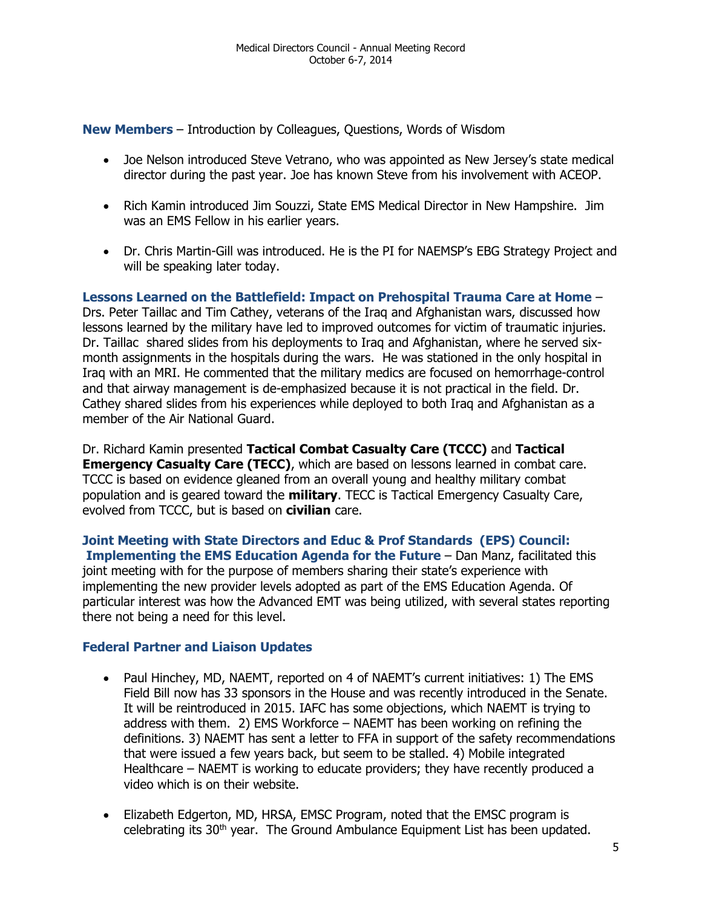**New Members** – Introduction by Colleagues, Questions, Words of Wisdom

- Joe Nelson introduced Steve Vetrano, who was appointed as New Jersey's state medical director during the past year. Joe has known Steve from his involvement with ACEOP.
- Rich Kamin introduced Jim Souzzi, State EMS Medical Director in New Hampshire. Jim was an EMS Fellow in his earlier years.
- Dr. Chris Martin-Gill was introduced. He is the PI for NAEMSP's EBG Strategy Project and will be speaking later today.

**Lessons Learned on the Battlefield: Impact on Prehospital Trauma Care at Home** – Drs. Peter Taillac and Tim Cathey, veterans of the Iraq and Afghanistan wars, discussed how lessons learned by the military have led to improved outcomes for victim of traumatic injuries. Dr. Taillac shared slides from his deployments to Iraq and Afghanistan, where he served sixmonth assignments in the hospitals during the wars. He was stationed in the only hospital in Iraq with an MRI. He commented that the military medics are focused on hemorrhage-control and that airway management is de-emphasized because it is not practical in the field. Dr. Cathey shared slides from his experiences while deployed to both Iraq and Afghanistan as a member of the Air National Guard.

Dr. Richard Kamin presented **Tactical Combat Casualty Care (TCCC)** and **Tactical Emergency Casualty Care (TECC)**, which are based on lessons learned in combat care. TCCC is based on evidence gleaned from an overall young and healthy military combat population and is geared toward the **military**. TECC is Tactical Emergency Casualty Care, evolved from TCCC, but is based on **civilian** care.

**Joint Meeting with State Directors and Educ & Prof Standards (EPS) Council: Implementing the EMS Education Agenda for the Future** – Dan Manz, facilitated this joint meeting with for the purpose of members sharing their state's experience with implementing the new provider levels adopted as part of the EMS Education Agenda. Of particular interest was how the Advanced EMT was being utilized, with several states reporting there not being a need for this level.

## **Federal Partner and Liaison Updates**

- Paul Hinchey, MD, NAEMT, reported on 4 of NAEMT's current initiatives: 1) The EMS Field Bill now has 33 sponsors in the House and was recently introduced in the Senate. It will be reintroduced in 2015. IAFC has some objections, which NAEMT is trying to address with them. 2) EMS Workforce – NAEMT has been working on refining the definitions. 3) NAEMT has sent a letter to FFA in support of the safety recommendations that were issued a few years back, but seem to be stalled. 4) Mobile integrated Healthcare – NAEMT is working to educate providers; they have recently produced a video which is on their website.
- Elizabeth Edgerton, MD, HRSA, EMSC Program, noted that the EMSC program is celebrating its  $30<sup>th</sup>$  year. The Ground Ambulance Equipment List has been updated.